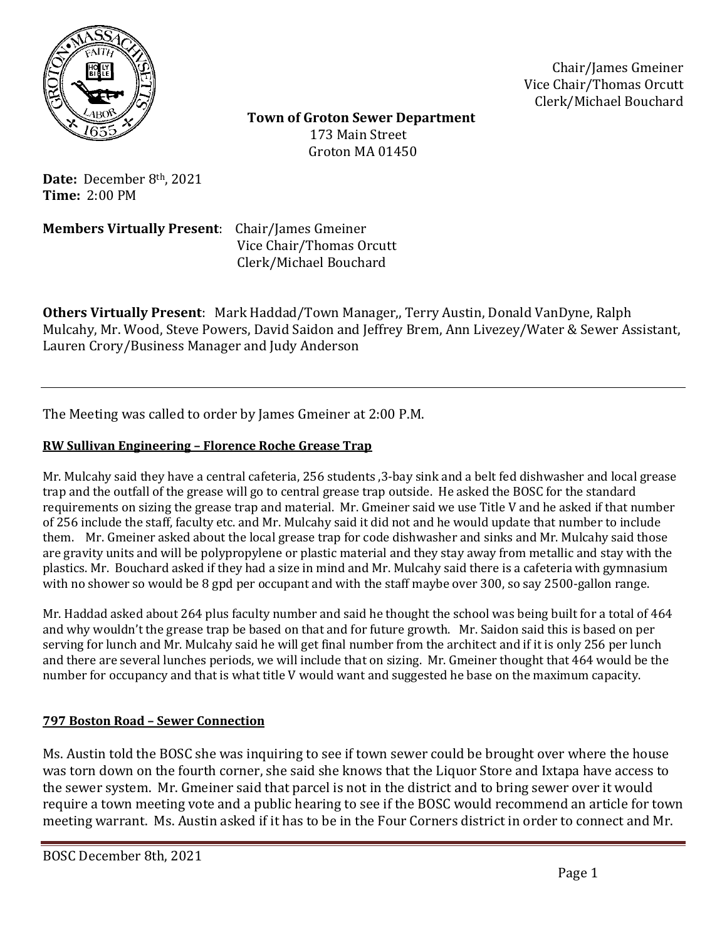

Chair/James Gmeiner Vice Chair/Thomas Orcutt Clerk/Michael Bouchard

 **Town of Groton Sewer Department** 173 Main Street Groton MA 01450

**Date:** December 8th, 2021 **Time:** 2:00 PM

**Members Virtually Present**: Chair/James Gmeiner

 Vice Chair/Thomas Orcutt Clerk/Michael Bouchard

**Others Virtually Present**: Mark Haddad/Town Manager,, Terry Austin, Donald VanDyne, Ralph Mulcahy, Mr. Wood, Steve Powers, David Saidon and Jeffrey Brem, Ann Livezey/Water & Sewer Assistant, Lauren Crory/Business Manager and Judy Anderson

The Meeting was called to order by James Gmeiner at 2:00 P.M.

# **RW Sullivan Engineering – Florence Roche Grease Trap**

Mr. Mulcahy said they have a central cafeteria, 256 students ,3-bay sink and a belt fed dishwasher and local grease trap and the outfall of the grease will go to central grease trap outside. He asked the BOSC for the standard requirements on sizing the grease trap and material. Mr. Gmeiner said we use Title V and he asked if that number of 256 include the staff, faculty etc. and Mr. Mulcahy said it did not and he would update that number to include them. Mr. Gmeiner asked about the local grease trap for code dishwasher and sinks and Mr. Mulcahy said those are gravity units and will be polypropylene or plastic material and they stay away from metallic and stay with the plastics. Mr. Bouchard asked if they had a size in mind and Mr. Mulcahy said there is a cafeteria with gymnasium with no shower so would be 8 gpd per occupant and with the staff maybe over 300, so say 2500-gallon range.

Mr. Haddad asked about 264 plus faculty number and said he thought the school was being built for a total of 464 and why wouldn't the grease trap be based on that and for future growth. Mr. Saidon said this is based on per serving for lunch and Mr. Mulcahy said he will get final number from the architect and if it is only 256 per lunch and there are several lunches periods, we will include that on sizing. Mr. Gmeiner thought that 464 would be the number for occupancy and that is what title V would want and suggested he base on the maximum capacity.

# **797 Boston Road – Sewer Connection**

Ms. Austin told the BOSC she was inquiring to see if town sewer could be brought over where the house was torn down on the fourth corner, she said she knows that the Liquor Store and Ixtapa have access to the sewer system. Mr. Gmeiner said that parcel is not in the district and to bring sewer over it would require a town meeting vote and a public hearing to see if the BOSC would recommend an article for town meeting warrant. Ms. Austin asked if it has to be in the Four Corners district in order to connect and Mr.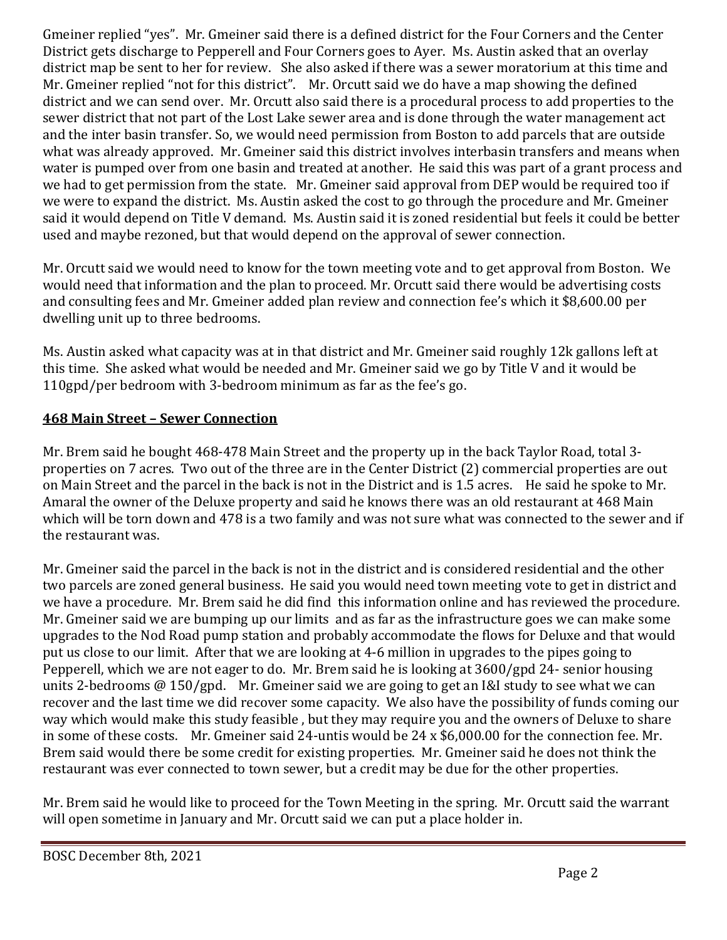Gmeiner replied "yes". Mr. Gmeiner said there is a defined district for the Four Corners and the Center District gets discharge to Pepperell and Four Corners goes to Ayer. Ms. Austin asked that an overlay district map be sent to her for review. She also asked if there was a sewer moratorium at this time and Mr. Gmeiner replied "not for this district". Mr. Orcutt said we do have a map showing the defined district and we can send over. Mr. Orcutt also said there is a procedural process to add properties to the sewer district that not part of the Lost Lake sewer area and is done through the water management act and the inter basin transfer. So, we would need permission from Boston to add parcels that are outside what was already approved. Mr. Gmeiner said this district involves interbasin transfers and means when water is pumped over from one basin and treated at another. He said this was part of a grant process and we had to get permission from the state. Mr. Gmeiner said approval from DEP would be required too if we were to expand the district. Ms. Austin asked the cost to go through the procedure and Mr. Gmeiner said it would depend on Title V demand. Ms. Austin said it is zoned residential but feels it could be better used and maybe rezoned, but that would depend on the approval of sewer connection.

Mr. Orcutt said we would need to know for the town meeting vote and to get approval from Boston. We would need that information and the plan to proceed. Mr. Orcutt said there would be advertising costs and consulting fees and Mr. Gmeiner added plan review and connection fee's which it \$8,600.00 per dwelling unit up to three bedrooms.

Ms. Austin asked what capacity was at in that district and Mr. Gmeiner said roughly 12k gallons left at this time. She asked what would be needed and Mr. Gmeiner said we go by Title V and it would be 110gpd/per bedroom with 3-bedroom minimum as far as the fee's go.

# **468 Main Street – Sewer Connection**

Mr. Brem said he bought 468-478 Main Street and the property up in the back Taylor Road, total 3 properties on 7 acres. Two out of the three are in the Center District (2) commercial properties are out on Main Street and the parcel in the back is not in the District and is 1.5 acres. He said he spoke to Mr. Amaral the owner of the Deluxe property and said he knows there was an old restaurant at 468 Main which will be torn down and 478 is a two family and was not sure what was connected to the sewer and if the restaurant was.

Mr. Gmeiner said the parcel in the back is not in the district and is considered residential and the other two parcels are zoned general business. He said you would need town meeting vote to get in district and we have a procedure. Mr. Brem said he did find this information online and has reviewed the procedure. Mr. Gmeiner said we are bumping up our limits and as far as the infrastructure goes we can make some upgrades to the Nod Road pump station and probably accommodate the flows for Deluxe and that would put us close to our limit. After that we are looking at 4-6 million in upgrades to the pipes going to Pepperell, which we are not eager to do. Mr. Brem said he is looking at 3600/gpd 24- senior housing units 2-bedrooms @ 150/gpd. Mr. Gmeiner said we are going to get an I&I study to see what we can recover and the last time we did recover some capacity. We also have the possibility of funds coming our way which would make this study feasible , but they may require you and the owners of Deluxe to share in some of these costs. Mr. Gmeiner said 24-untis would be 24 x \$6,000.00 for the connection fee. Mr. Brem said would there be some credit for existing properties. Mr. Gmeiner said he does not think the restaurant was ever connected to town sewer, but a credit may be due for the other properties.

Mr. Brem said he would like to proceed for the Town Meeting in the spring. Mr. Orcutt said the warrant will open sometime in January and Mr. Orcutt said we can put a place holder in.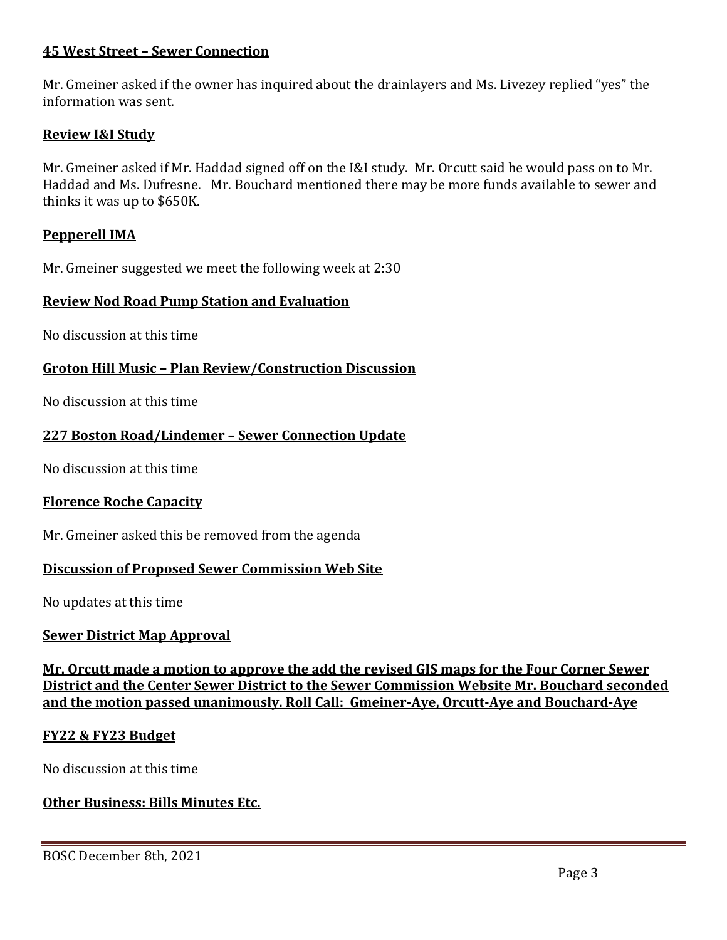# **45 West Street – Sewer Connection**

Mr. Gmeiner asked if the owner has inquired about the drainlayers and Ms. Livezey replied "yes" the information was sent.

## **Review I&I Study**

Mr. Gmeiner asked if Mr. Haddad signed off on the I&I study. Mr. Orcutt said he would pass on to Mr. Haddad and Ms. Dufresne. Mr. Bouchard mentioned there may be more funds available to sewer and thinks it was up to \$650K.

## **Pepperell IMA**

Mr. Gmeiner suggested we meet the following week at 2:30

## **Review Nod Road Pump Station and Evaluation**

No discussion at this time

# **Groton Hill Music – Plan Review/Construction Discussion**

No discussion at this time

## **227 Boston Road/Lindemer – Sewer Connection Update**

No discussion at this time

## **Florence Roche Capacity**

Mr. Gmeiner asked this be removed from the agenda

## **Discussion of Proposed Sewer Commission Web Site**

No updates at this time

## **Sewer District Map Approval**

**Mr. Orcutt made a motion to approve the add the revised GIS maps for the Four Corner Sewer District and the Center Sewer District to the Sewer Commission Website Mr. Bouchard seconded and the motion passed unanimously. Roll Call: Gmeiner-Aye, Orcutt-Aye and Bouchard-Aye**

## **FY22 & FY23 Budget**

No discussion at this time

# **Other Business: Bills Minutes Etc.**